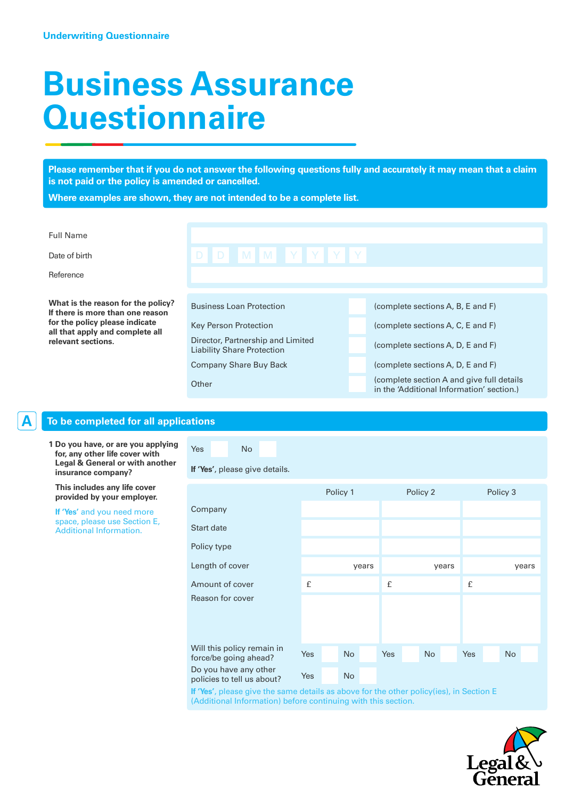# **Business Assurance Questionnaire**

**Please remember that if you do not answer the following questions fully and accurately it may mean that a claim is not paid or the policy is amended or cancelled.**

**Where examples are shown, they are not intended to be a complete list.**

| <b>Full Name</b>                                                       |                                                                        |                                                                                         |
|------------------------------------------------------------------------|------------------------------------------------------------------------|-----------------------------------------------------------------------------------------|
| Date of birth                                                          | D D M M Y Y Y Y                                                        |                                                                                         |
| Reference                                                              |                                                                        |                                                                                         |
|                                                                        |                                                                        |                                                                                         |
| What is the reason for the policy?<br>If there is more than one reason | <b>Business Loan Protection</b>                                        | (complete sections A, B, E and F)                                                       |
| for the policy please indicate<br>all that apply and complete all      | <b>Key Person Protection</b>                                           | (complete sections A, C, E and F)                                                       |
| relevant sections.                                                     | Director, Partnership and Limited<br><b>Liability Share Protection</b> | (complete sections A, D, E and F)                                                       |
|                                                                        | <b>Company Share Buy Back</b>                                          | (complete sections A, D, E and F)                                                       |
|                                                                        | Other                                                                  | (complete section A and give full details)<br>in the 'Additional Information' section.) |

# **A To be completed for all applications**

**1 Do you have, or are you applying for, any other life cover with Legal & General or with another insurance company?**

 **This includes any life cover provided by your employer.**

 **If 'Yes'** and you need more space, please use Section E, Additional Information.

# **If 'Yes'**, please give details.

Yes No

|                                                     |     | Policy 1  |       |     | Policy 2 |           |       |     | Policy 3  |  |
|-----------------------------------------------------|-----|-----------|-------|-----|----------|-----------|-------|-----|-----------|--|
| Company                                             |     |           |       |     |          |           |       |     |           |  |
| <b>Start date</b>                                   |     |           |       |     |          |           |       |     |           |  |
| Policy type                                         |     |           |       |     |          |           |       |     |           |  |
| Length of cover                                     |     |           | years |     |          |           | years |     | years     |  |
| Amount of cover                                     | £   |           |       | £   |          |           |       | £   |           |  |
| Reason for cover                                    |     |           |       |     |          |           |       |     |           |  |
| Will this policy remain in<br>force/be going ahead? | Yes | <b>No</b> |       | Yes |          | <b>No</b> |       | Yes | <b>No</b> |  |
| Do you have any other<br>policies to tell us about? | Yes | <b>No</b> |       |     |          |           |       |     |           |  |

**If 'Yes'**, please give the same details as above for the other policy(ies), in Section E (Additional Information) before continuing with this section.

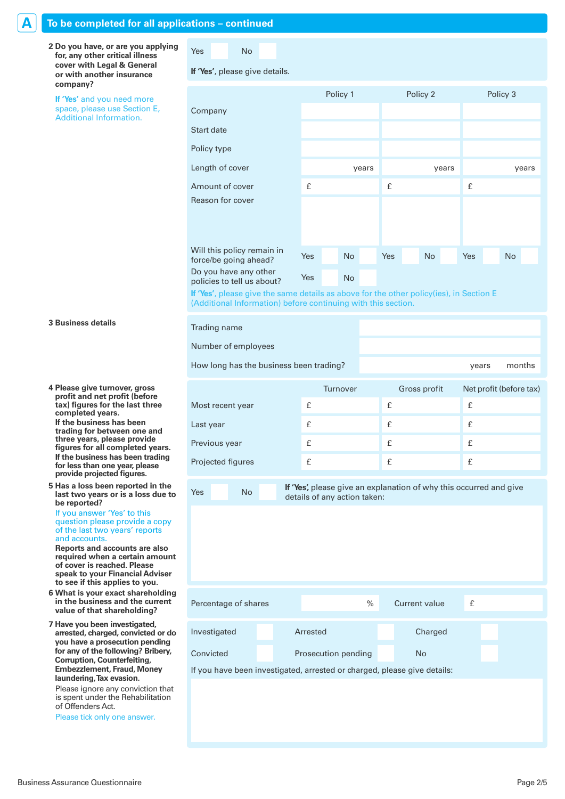## **A To be completed for all applications – continued**

**2 Do you have, or are you applying for, any other critical illness cover with Legal & General or with another insurance company?** 

 **If 'Yes'** and you need more space, please use Section E, Additional Information.

Yes No

Co

Sta

Po

Len

An Re.

for D<sub>o</sub> po

Trading name

Number of employees

### **If 'Yes'**, please give details.

|                                                                                        |     | Policy 1 |           |       |     | Policy 2  |       |     | Policy 3  |       |
|----------------------------------------------------------------------------------------|-----|----------|-----------|-------|-----|-----------|-------|-----|-----------|-------|
| Company                                                                                |     |          |           |       |     |           |       |     |           |       |
| Start date                                                                             |     |          |           |       |     |           |       |     |           |       |
| Policy type                                                                            |     |          |           |       |     |           |       |     |           |       |
| Length of cover                                                                        |     |          |           | years |     |           | years |     |           | years |
| Amount of cover                                                                        | £   |          |           |       | £   |           |       | £   |           |       |
| Reason for cover                                                                       |     |          |           |       |     |           |       |     |           |       |
|                                                                                        |     |          |           |       |     |           |       |     |           |       |
|                                                                                        |     |          |           |       |     |           |       |     |           |       |
| Will this policy remain in<br>force/be going ahead?                                    | Yes |          | <b>No</b> |       | Yes | <b>No</b> |       | Yes | <b>No</b> |       |
| Do you have any other<br>policies to tell us about?                                    | Yes |          | <b>No</b> |       |     |           |       |     |           |       |
| If 'Vee' please give the same details as above for the other policy (ies) in Section E |     |          |           |       |     |           |       |     |           |       |

**If 'Yes'**, please give the same details as above for the other policy(ies), in Section E (Additional Information) before continuing with this section.

#### **3 Business details**

**4 Please give turnover, gross profit and net profit (before tax) figures for the last three completed years. If the business has been trading for between one and three years, please provide figures for all completed years. If the business has been trading for less than one year, please provide projected figures.**

**5 Has a loss been reported in the last two years or is a loss due to be reported?**

 If you answer 'Yes' to this question please provide a copy of the last two years' reports and accounts.

 **Reports and accounts are also required when a certain amount of cover is reached. Please speak to your Financial Adviser to see if this applies to you.**

- **6 What is your exact shareholding in the business and the current value of that shareholding?**
- **7 Have you been investigated, arrested, charged, convicted or do you have a prosecution pending for any of the following? Bribery, Corruption, Counterfeiting, Embezzlement, Fraud, Money laundering, Tax evasion.**

 Please ignore any conviction that is spent under the Rehabilitation of Offenders Act.

Please tick only one answer.

|                   | Turnover     | Gross profit | Net profit (before tax) |
|-------------------|--------------|--------------|-------------------------|
| Most recent year  | $\mathbf{f}$ | £            | f                       |
| Last year         | £            | £            | £                       |
| Previous year     | £            | £            | £                       |
| Projected figures | £            | £            |                         |
|                   |              |              |                         |

How long has the business been trading? The months of the system of the system of the system of the system of the system of the system of the system of the system of the system of the system of the system of the system of

Yes No **If 'Yes'**, please give an explanation of why this occurred and give details of any action taken:

| Percentage of shares | $\%$                                                                     | Current value | £ |  |  |
|----------------------|--------------------------------------------------------------------------|---------------|---|--|--|
| Investigated         | Arrested                                                                 | Charged       |   |  |  |
| Convicted            | Prosecution pending                                                      | <b>No</b>     |   |  |  |
|                      | If you have been investigated, arrested or charged, please give details: |               |   |  |  |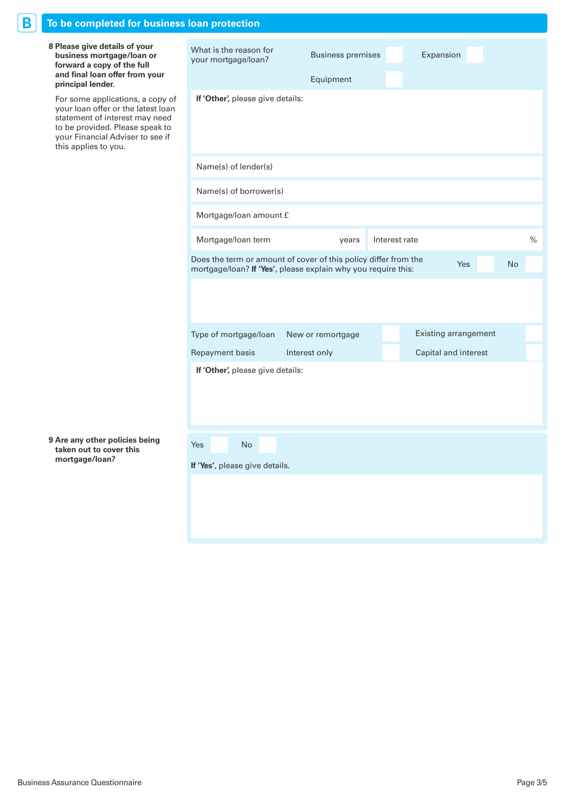| Β<br>To be completed for business loan protection                                                                                                                                                       |                                                                                                                                  |                                       |               |                             |           |
|---------------------------------------------------------------------------------------------------------------------------------------------------------------------------------------------------------|----------------------------------------------------------------------------------------------------------------------------------|---------------------------------------|---------------|-----------------------------|-----------|
| 8 Please give details of your<br>business mortgage/loan or<br>forward a copy of the full<br>and final loan offer from your<br>principal lender.                                                         | What is the reason for<br>your mortgage/loan?                                                                                    | <b>Business premises</b><br>Equipment |               | Expansion                   |           |
| For some applications, a copy of<br>your loan offer or the latest loan<br>statement of interest may need<br>to be provided. Please speak to<br>your Financial Adviser to see if<br>this applies to you. | If 'Other', please give details:                                                                                                 |                                       |               |                             |           |
|                                                                                                                                                                                                         | Name(s) of lender(s)                                                                                                             |                                       |               |                             |           |
|                                                                                                                                                                                                         | Name(s) of borrower(s)                                                                                                           |                                       |               |                             |           |
|                                                                                                                                                                                                         | Mortgage/loan amount £                                                                                                           |                                       |               |                             |           |
|                                                                                                                                                                                                         | Mortgage/loan term                                                                                                               | years                                 | Interest rate |                             | $\%$      |
|                                                                                                                                                                                                         | Does the term or amount of cover of this policy differ from the<br>mortgage/loan? If 'Yes', please explain why you require this: |                                       |               | <b>Yes</b>                  | <b>No</b> |
|                                                                                                                                                                                                         |                                                                                                                                  |                                       |               |                             |           |
|                                                                                                                                                                                                         | Type of mortgage/loan                                                                                                            | New or remortgage                     |               | <b>Existing arrangement</b> |           |
|                                                                                                                                                                                                         | Repayment basis                                                                                                                  | Interest only                         |               | Capital and interest        |           |
|                                                                                                                                                                                                         | If 'Other', please give details:                                                                                                 |                                       |               |                             |           |
| 9 Are any other policies being<br>taken out to cover this                                                                                                                                               | No<br>Yes                                                                                                                        |                                       |               |                             |           |
| mortgage/loan?                                                                                                                                                                                          | If 'Yes', please give details.                                                                                                   |                                       |               |                             |           |
|                                                                                                                                                                                                         |                                                                                                                                  |                                       |               |                             |           |
|                                                                                                                                                                                                         |                                                                                                                                  |                                       |               |                             |           |
|                                                                                                                                                                                                         |                                                                                                                                  |                                       |               |                             |           |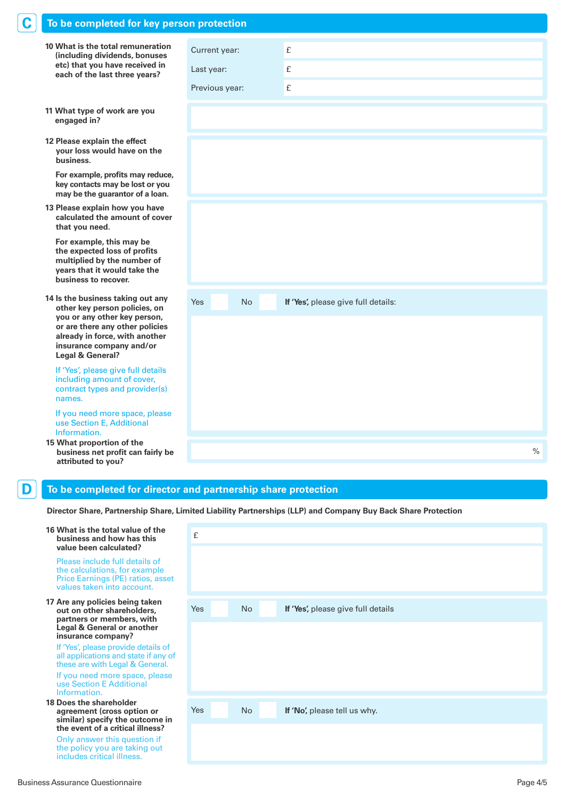| C | To be completed for key person protection                                                                                                                                                                               |                             |                                                                                                               |               |
|---|-------------------------------------------------------------------------------------------------------------------------------------------------------------------------------------------------------------------------|-----------------------------|---------------------------------------------------------------------------------------------------------------|---------------|
|   | 10 What is the total remuneration<br>(including dividends, bonuses<br>etc) that you have received in<br>each of the last three years?                                                                                   | Current year:<br>Last year: | £<br>£                                                                                                        |               |
|   |                                                                                                                                                                                                                         | Previous year:              | £                                                                                                             |               |
|   | 11 What type of work are you<br>engaged in?                                                                                                                                                                             |                             |                                                                                                               |               |
|   | 12 Please explain the effect<br>your loss would have on the<br>business.                                                                                                                                                |                             |                                                                                                               |               |
|   | For example, profits may reduce,<br>key contacts may be lost or you<br>may be the guarantor of a loan.                                                                                                                  |                             |                                                                                                               |               |
|   | 13 Please explain how you have<br>calculated the amount of cover<br>that you need.                                                                                                                                      |                             |                                                                                                               |               |
|   | For example, this may be<br>the expected loss of profits<br>multiplied by the number of<br>years that it would take the<br>business to recover.                                                                         |                             |                                                                                                               |               |
|   | 14 Is the business taking out any<br>other key person policies, on<br>you or any other key person,<br>or are there any other policies<br>already in force, with another<br>insurance company and/or<br>Legal & General? | Yes<br><b>No</b>            | If 'Yes', please give full details:                                                                           |               |
|   | If 'Yes', please give full details<br>including amount of cover,<br>contract types and provider(s)<br>names.                                                                                                            |                             |                                                                                                               |               |
|   | If you need more space, please<br>use Section E, Additional<br>Information.                                                                                                                                             |                             |                                                                                                               |               |
|   | 15 What proportion of the<br>business net profit can fairly be<br>attributed to you?                                                                                                                                    |                             |                                                                                                               | $\frac{0}{0}$ |
| D | To be completed for director and partnership share protection                                                                                                                                                           |                             |                                                                                                               |               |
|   |                                                                                                                                                                                                                         |                             | Director Share, Partnership Share, Limited Liability Partnerships (LLP) and Company Buy Back Share Protection |               |
|   | 16 What is the total value of the<br>business and how has this<br>value been calculated?                                                                                                                                | £                           |                                                                                                               |               |
|   | Please include full details of<br>the calculations, for example<br>Price Earnings (PE) ratios, asset                                                                                                                    |                             |                                                                                                               |               |

| 17 Are any policies being taken       |
|---------------------------------------|
| out on other shareholders,            |
| partners or members, with             |
| <b>Legal &amp; General or another</b> |
| insurance company?                    |

values taken into account.

If 'Yes', please provide details of all applications and state if any of these are with Legal & General. If you need more space, please use Section E Additional Information.

**18 Does the shareholder agreement (cross option or similar) specify the outcome in the event of a critical illness?** Only answer this question if

the policy you are taking out includes critical illness.

| Yes | No | If 'Yes', please give full details |  |
|-----|----|------------------------------------|--|
|     |    |                                    |  |
|     |    |                                    |  |
| Yes | No | If 'No', please tell us why.       |  |
|     |    |                                    |  |